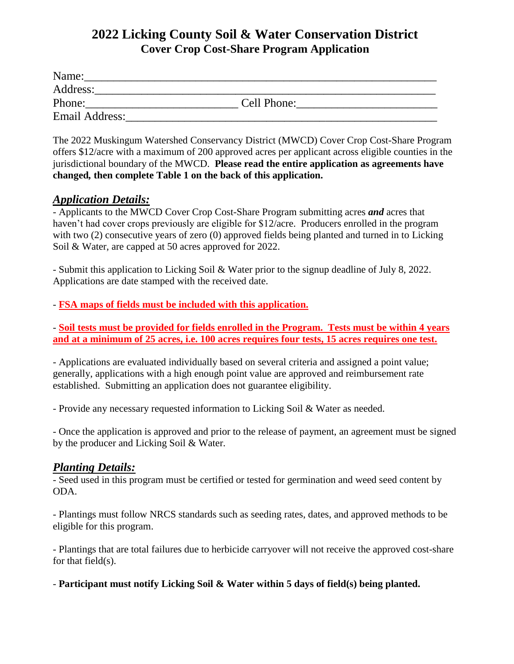# **2022 Licking County Soil & Water Conservation District Cover Crop Cost-Share Program Application**

| Name:          |             |  |
|----------------|-------------|--|
| Address:       |             |  |
| Phone:         | Cell Phone: |  |
| Email Address: |             |  |

The 2022 Muskingum Watershed Conservancy District (MWCD) Cover Crop Cost-Share Program offers \$12/acre with a maximum of 200 approved acres per applicant across eligible counties in the jurisdictional boundary of the MWCD. **Please read the entire application as agreements have changed***,* **then complete Table 1 on the back of this application.**

#### *Application Details:*

- Applicants to the MWCD Cover Crop Cost-Share Program submitting acres *and* acres that haven't had cover crops previously are eligible for \$12/acre. Producers enrolled in the program with two (2) consecutive years of zero (0) approved fields being planted and turned in to Licking Soil & Water, are capped at 50 acres approved for 2022.

- Submit this application to Licking Soil & Water prior to the signup deadline of July 8, 2022. Applications are date stamped with the received date.

- **FSA maps of fields must be included with this application.**

- **Soil tests must be provided for fields enrolled in the Program. Tests must be within 4 years and at a minimum of 25 acres, i.e. 100 acres requires four tests, 15 acres requires one test.**

- Applications are evaluated individually based on several criteria and assigned a point value; generally, applications with a high enough point value are approved and reimbursement rate established. Submitting an application does not guarantee eligibility.

- Provide any necessary requested information to Licking Soil & Water as needed.

- Once the application is approved and prior to the release of payment, an agreement must be signed by the producer and Licking Soil & Water.

#### *Planting Details:*

- Seed used in this program must be certified or tested for germination and weed seed content by ODA.

- Plantings must follow NRCS standards such as seeding rates, dates, and approved methods to be eligible for this program.

- Plantings that are total failures due to herbicide carryover will not receive the approved cost-share for that field(s).

- **Participant must notify Licking Soil & Water within 5 days of field(s) being planted.**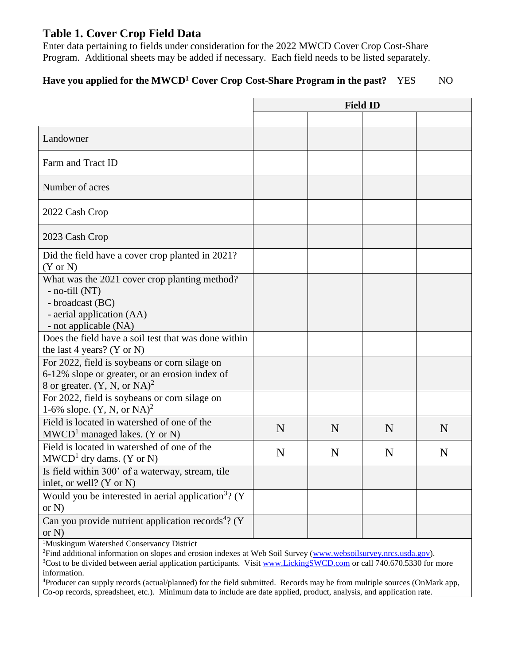# **Table 1. Cover Crop Field Data**

Enter data pertaining to fields under consideration for the 2022 MWCD Cover Crop Cost-Share Program. Additional sheets may be added if necessary. Each field needs to be listed separately.

# **Have you applied for the MWCD<sup>1</sup> Cover Crop Cost-Share Program in the past?** YES NO

|                                                                                                                                           | <b>Field ID</b> |   |   |   |
|-------------------------------------------------------------------------------------------------------------------------------------------|-----------------|---|---|---|
|                                                                                                                                           |                 |   |   |   |
| Landowner                                                                                                                                 |                 |   |   |   |
| Farm and Tract ID                                                                                                                         |                 |   |   |   |
| Number of acres                                                                                                                           |                 |   |   |   |
| 2022 Cash Crop                                                                                                                            |                 |   |   |   |
| 2023 Cash Crop                                                                                                                            |                 |   |   |   |
| Did the field have a cover crop planted in 2021?<br>$(Y \text{ or } N)$                                                                   |                 |   |   |   |
| What was the 2021 cover crop planting method?<br>- no-till (NT)<br>- broadcast (BC)<br>- aerial application (AA)<br>- not applicable (NA) |                 |   |   |   |
| Does the field have a soil test that was done within<br>the last 4 years? (Y or N)                                                        |                 |   |   |   |
| For 2022, field is soybeans or corn silage on<br>6-12% slope or greater, or an erosion index of<br>8 or greater. $(Y, N, or NA)^2$        |                 |   |   |   |
| For 2022, field is soybeans or corn silage on<br>1-6% slope. $(Y, N, or NA)^2$                                                            |                 |   |   |   |
| Field is located in watershed of one of the<br>$MWCD1$ managed lakes. (Y or N)                                                            | N               | N | N | N |
| Field is located in watershed of one of the<br>$MWCD1$ dry dams. (Y or N)                                                                 | N               | N | N | N |
| Is field within 300' of a waterway, stream, tile<br>inlet, or well? $(Y \text{ or } N)$                                                   |                 |   |   |   |
| Would you be interested in aerial application <sup>3</sup> ? ( $Y$<br>or $N$ )                                                            |                 |   |   |   |
| Can you provide nutrient application records <sup>4</sup> ? (Y<br>or $N$ )                                                                |                 |   |   |   |

<sup>1</sup>Muskingum Watershed Conservancy District

<sup>2</sup>Find additional information on slopes and erosion indexes at Web Soil Survey [\(www.websoilsurvey.nrcs.usda.gov\)](http://www.websoilsurvey.nrcs.usda.gov/). <sup>3</sup>Cost to be divided between aerial application participants. Visit [www.LickingSWCD.com](http://www.lickingswcd.com/) or call 740.670.5330 for more information.

<sup>4</sup>Producer can supply records (actual/planned) for the field submitted. Records may be from multiple sources (OnMark app, Co-op records, spreadsheet, etc.). Minimum data to include are date applied, product, analysis, and application rate.